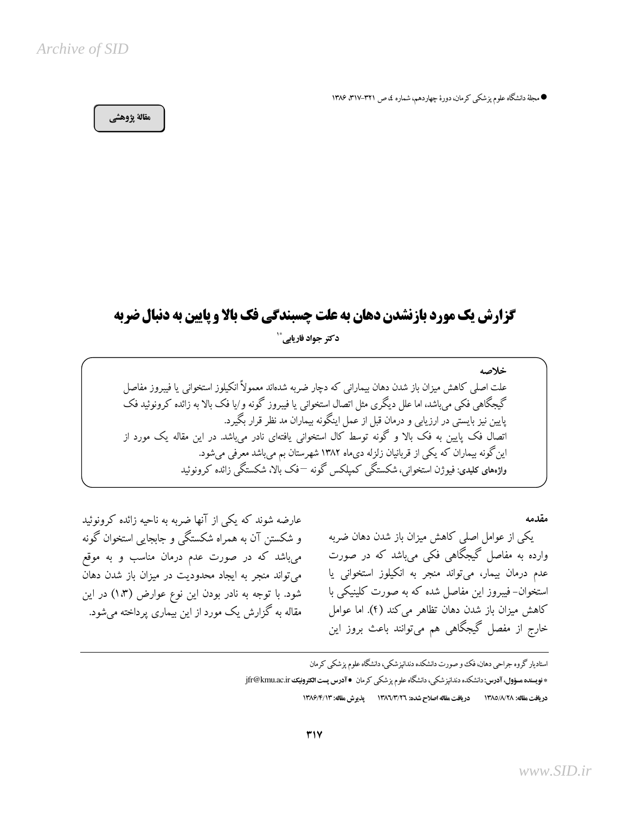## Archive of SID

● مجلهٔ دانشگاه علوم پزشکی کرمان، دورهٔ چهاردهم، شماره ٤، ص ٣٦١-٣١٧، ١٣٨۶

## مقالة يژوهشي

عارضه شوند که یکی از آنها ضربه به ناحیه زائده کرونوئید

و شکستن آن به همراه شکستگی و جابجایی استخوان گونه

میباشد که در صورت عدم درمان مناسب و به موقع

می تواند منجر به ایجاد محدودیت در میزان باز شدن دهان

شود. با توجه به نادر بودن این نوع عوارض (۱،۳) در این

مقاله به گزارش یک مورد از این بیماری پرداخته می شود.

# گزارش یک مورد بازنشدن دهان به علت چسبندگی فک بالا و پایین به دنبال ضربه

دکتر جواد فاریاہے ۔ ٚ

خلاصه علت اصلی کاهش میزان باز شدن دهان بیمارانی که دچار ضربه شدهاند معمولاً انکیلوز استخوانی یا فیبروز مفاصل گیجگاهی فکی می،باشد، اما علل دیگری مثل اتصال استخوانی یا فیبروز گونه و/یا فک بالا به زائده کرونوئید فک پایین نیز بایستی در ارزیابی و درمان قبل از عمل اینگونه بیماران مد نظر قرار بگیرد. اتصال فک پایین به فک بالا و گونه توسط کال استخوانی یافتهای نادر می,باشد. در این مقاله یک مورد از این گونه بیماران که یکی از قربانیان زلزله دیماه ۱۳۸۲ شهرستان بم میباشد معرفی میشود. واژەهای کلیدی: فیوژن استخوانی، شکستگی کمیلکس گونه —فک بالا، شکستگی زائده کرونوئید

مقدمه

یکی از عوامل اصلی کاهش میزان باز شدن دهان ضربه وارده به مفاصل گیجگاهی فکی میباشد که در صورت عدم درمان بیمار، میتواند منجر به انکیلوز استخوانی یا استخوان- فیبروز این مفاصل شده که به صورت کلینیکی با كاهش ميزان باز شدن دهان تظاهر مي كند (۴). اما عوامل خارج از مفصل گیجگاهی هم میتوانند باعث بروز این

استادیار گروه جراحی دهان، فک و صورت دانشکده دندانپزشکی، دانشگاه علوم پزشکی کرمان \* فويسنده مسؤول، آدرس: دانشكده دندانپزشكي، دانشگاه علوم پزشكي كرمان ● آدرس پست الكترونيك jfr@kmu.ac.ir دريافت مقاله: ١٣٨٥/٨/٢٨ دريافت مقاله اصلاح شده: ١٣٨٦/٣/٢٦ يذير ش مقاله: ١٣٨٦/٣/١٣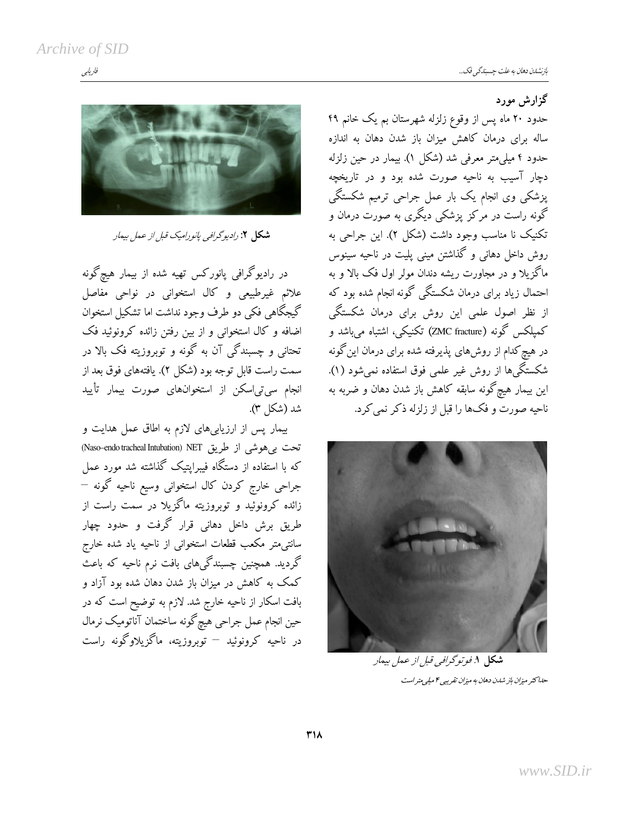فاريابي

گزارش مورد



شكل ۲: راديوگرافي پانوراميك قبل از عمل بيمار

در رادیوگرافی پانورکس تهیه شده از بیمار هیچگونه علائم غیرطبیعی و کال استخوانی در نواحی مفاصل گیجگاهی فکی دو طرف وجود نداشت اما تشکیل استخوان اضافه و کال استخوانی و از بین رفتن زائده کرونوئید فک تحتاني و چسبندگي آن به گونه و توبروزيته فک بالا در سمت راست قابل توجه بود (شکل ۲). یافتههای فوق بعد از انجام سی تی اسکن از استخوانهای صورت بیمار تأیید شد (شکل ۳).

بیمار پس از ارزیابی های لازم به اطاق عمل هدایت و تحت بی هوشی از طریق Naso-endo tracheal Intubation) NET که با استفاده از دستگاه فیبراپتیک گذاشته شد مورد عمل جراحی خارج کردن کال استخوانی وسیع ناحیه گونه – زائده کرونوئید و توبروزیته ماگزیلا در سمت راست از طریق برش داخل دهانی قرار گرفت و حدود چهار سانتیمتر مکعب قطعات استخوانی از ناحیه یاد شده خارج گردید. همچنین چسبندگیهای بافت نرم ناحیه که باعث کمک به کاهش در میزان باز شدن دهان شده بود آزاد و بافت اسکار از ناحیه خارج شد. لازم به توضیح است که در حین انجام عمل جراحی هیچگونه ساختمان آناتومیک نرمال در ناحیه کرونوئید – توبروزیته، ماگزیلاوگونه راست

حدود ۲۰ ماه پس از وقوع زلزله شهرستان بم یک خانم ۴۹ ساله برای درمان کاهش میزان باز شدن دهان به اندازه حدود ۴ میلی متر معرفی شد (شکل ۱). بیمار در حین زلزله دچار آسیب به ناحیه صورت شده بود و در تاریخچه پزشکی وی انجام یک بار عمل جراحی ترمیم شکستگی گونه راست در مرکز یزشکی دیگری به صورت درمان و تکنیک نا مناسب وجود داشت (شکل ۲). این جراحی به روش داخل دهانی و گذاشتن مینی پلیت در ناحیه سینوس ماگزیلا و در مجاورت ریشه دندان مولر اول فک بالا و به احتمال زیاد برای درمان شکستگی گونه انجام شده بود که از نظر اصول علمی این روش برای درمان شکستگی كميلكس گونه (ZMC fracture) تكنيكي، اشتباه مي باشد و در هیچ کدام از روشهای پذیرفته شده برای درمان این گونه شکستگی ها از روش غیر علمی فوق استفاده نمی شود (۱). این بیمار هیچگونه سابقه کاهش باز شدن دهان و ضربه به ناحیه صورت و فکها را قبل از زلزله ذکر نمی کرد.



شکل ۱. *فو تو گرافی قبل از عمل بی*مار حله کثر میزان باز شدن دهان به میزان تقریبی ۴ میلی متر است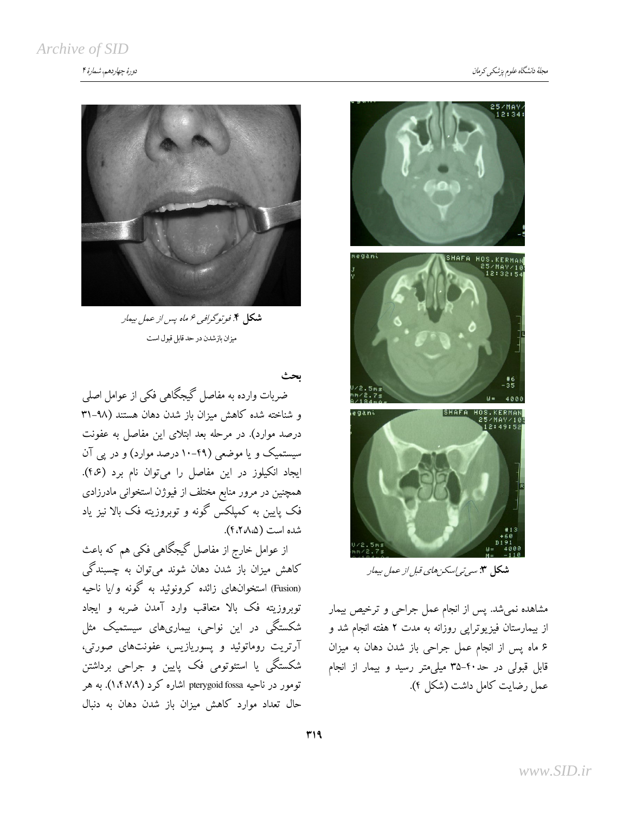

**شکل ۴**. فوتوگرافی ۶ ماه پس از عمل بیمار میزان بازشدن در حد قابل قبول است

ضربات وارده به مفاصل گیجگاهی فکی از عوامل اصلی و شناخته شده كاهش ميزان باز شدن دهان هستند (٩٨-٣١ درصد موارد). در مرحله بعد ابتلای این مفاصل به عفونت سیستمیک و یا موضعی (۴۹-۱۰ درصد موارد) و در یی آن ايجاد انكيلوز در اين مفاصل را مي توان نام برد (٤٠٤). همچنین در مرور منابع مختلف از فیوژن استخوانی مادرزادی فک پایین به کمیلکس گونه و توبروزیته فک بالا نیز یاد شده است (۴،۲۸۵).

از عوامل خارج از مفاصل گیجگاهی فکی هم که باعث کاهش میزان باز شدن دهان شوند میتوان به چسبندگی (Fusion) استخوانهای زائده کرونوئید به گونه و/یا ناحیه توبروزیته فک بالا متعاقب وارد آمدن ضربه و ایجاد شکستگی در این نواحی، بیماریهای سیستمیک مثل آرتریت روماتوئید و پسوریازیس، عفونتهای صورتی، شکستگی یا استئوتومی فک پایین و جراحی برداشتن تومور در ناحیه pterygoid fossa اشاره کرد (۱،۴،۷،۹). به هر حال تعداد موارد كاهش ميزان باز شدن دهان به دنبال



**شکل ۳:** سی*ی نی اسکن های قبل از عمل بی*مار

مشاهده نمیشد. پس از انجام عمل جراحی و ترخیص بیمار از بیمارستان فیزیوترایی روزانه به مدت ۲ هفته انجام شد و ۶ ماه پس از انجام عمل جراحی باز شدن دهان به میزان قابل قبولی در حد۴۰-۳۵ میلی متر رسید و بیمار از انجام عمل رضايت كامل داشت (شكل ۴).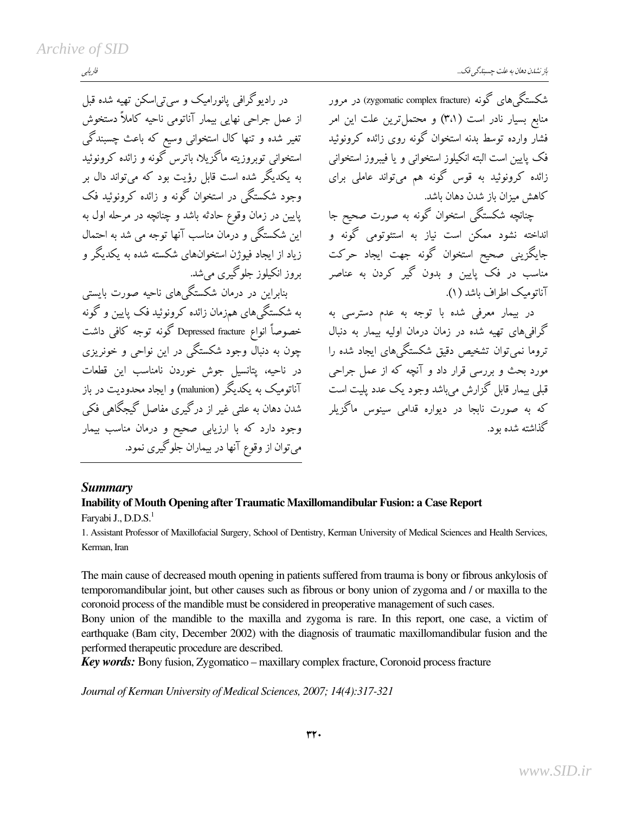فاريابي

در رادیوگرافی یانورامیک و سی تی|سکن تھیه شده قبل

از عمل جراحی نهایی بیمار آناتومی ناحیه کاملاً دستخوش

تغیر شده و تنها کال استخوانی وسیع که باعث چسبندگی

استخوانی توبروزیته ماگزیلا، باترس گونه و زائده کرونوئید

به یکدیگر شده است قابل رؤیت بود که میتواند دال بر

وجود شکستگی در استخوان گونه و زائده کرونوئید فک

یایین در زمان وقوع حادثه باشد و چنانچه در مرحله اول به

این شکستگی و درمان مناسب آنها توجه می شد به احتمال

زیاد از ایجاد فیوژن استخوانهای شکسته شده به یکدیگر و

بنابراین در درمان شکستگی های ناحبه صورت بایستی

به شکستگی های همزمان زائده کرونوئید فک پایین و گونه

خصوصاً انواع Depressed fracture گونه توجه کافی داشت

چون به دنبال وجود شکستگی در این نواحی و خونریزی

در ناحیه، پتانسیل جوش خوردن نامناسب این قطعات

آناتومیک به یکدیگر (malunion) و ایجاد محدودیت در باز

شدن دهان به علتی غیر از درگیری مفاصل گیجگاهی فکی

وجود دارد که با ارزیابی صحیح و درمان مناسب بیمار

می توان از وقوع آنها در بیماران جلوگیری نمود.

بروز انکیلوز جلوگیری می شد.

شکستگی های گونه (zygomatic complex fracture) در مرور منابع بسیار نادر است (۳،۱) و محتمل ترین علت این امر فشار وارده توسط بدنه استخوان گونه روی زائده کرونوئید فک پایین است البته انکیلوز استخوانی و یا فیبروز استخوانی زائده کرونوئید به قوس گونه هم میتواند عاملی برای كاهش ميزان باز شدن دهان باشد.

جنانچه شکستگی استخوان گونه به صورت صحیح جا انداخته نشود ممکن است نیاز به استئوتومی گونه و جايگزينې صحيح استخوان گونه جهت ايجاد حركت مناسب در فک پایین و بدون گیر کردن به عناصر آناتومیک اطراف پاشد (۱).

در بیمار معرفی شده با توجه به عدم دسترسی به گرافی های تهیه شده در زمان درمان اولیه بیمار به دنبال تروما نمی توان تشخیص دقیق شکستگی های ایجاد شده را مورد بحث و بررسی قرار داد و آنچه که از عمل جراحی قبلی بیمار قابل گزارش میباشد وجود یک عدد پلیت است که به صورت نابجا در دیواره قدامی سینوس ماگزیلر گذاشته شده ىود.

#### **Summary**

#### Inability of Mouth Opening after Traumatic Maxillomandibular Fusion: a Case Report Faryabi J., D.D.S.<sup>1</sup>

1. Assistant Professor of Maxillofacial Surgery, School of Dentistry, Kerman University of Medical Sciences and Health Services, Kerman, Iran

The main cause of decreased mouth opening in patients suffered from trauma is bony or fibrous ankylosis of temporomandibular joint, but other causes such as fibrous or bony union of zygoma and / or maxilla to the coronoid process of the mandible must be considered in preoperative management of such cases.

Bony union of the mandible to the maxilla and zygoma is rare. In this report, one case, a victim of earthquake (Bam city, December 2002) with the diagnosis of traumatic maxillomandibular fusion and the performed therapeutic procedure are described.

Key words: Bony fusion, Zygomatico - maxillary complex fracture, Coronoid process fracture

Journal of Kerman University of Medical Sciences, 2007; 14(4):317-321